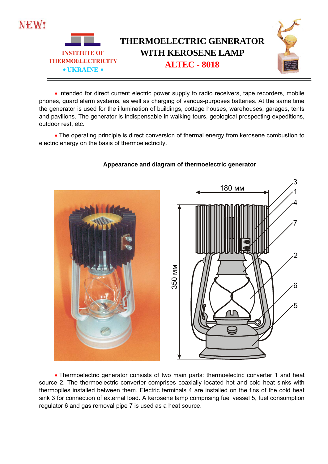

• Intended for direct current electric power supply to radio receivers, tape recorders, mobile phones, guard alarm systems, as well as charging of various-purposes batteries. At the same time the generator is used for the illumination of buildings, cottage houses, warehouses, garages, tents and pavilions. The generator is indispensable in walking tours, geological prospecting expeditions, outdoor rest, etc.

 The operating principle is direct conversion of thermal energy from kerosene combustion to electric energy on the basis of thermoelectricity.



## **Appearance and diagram of thermoelectric generator**

 Thermoelectric generator consists of two main parts: thermoelectric converter 1 and heat source 2. The thermoelectric converter comprises coaxially located hot and cold heat sinks with thermopiles installed between them. Electric terminals 4 are installed on the fins of the cold heat sink 3 for connection of external load. A kerosene lamp comprising fuel vessel 5, fuel consumption regulator 6 and gas removal pipe 7 is used as a heat source.